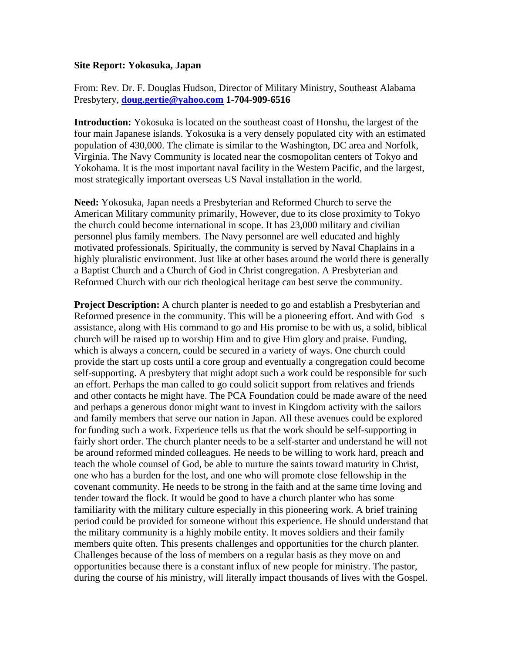## **Site Report: Yokosuka, Japan**

From: Rev. Dr. F. Douglas Hudson, Director of Military Ministry, Southeast Alabama Presbytery, **[doug.gertie@yahoo.com](mailto:doug.gertie@yahoo.com) 1-704-909-6516**

**Introduction:** Yokosuka is located on the southeast coast of Honshu, the largest of the four main Japanese islands. Yokosuka is a very densely populated city with an estimated population of 430,000. The climate is similar to the Washington, DC area and Norfolk, Virginia. The Navy Community is located near the cosmopolitan centers of Tokyo and Yokohama. It is the most important naval facility in the Western Pacific, and the largest, most strategically important overseas US Naval installation in the world.

**Need:** Yokosuka, Japan needs a Presbyterian and Reformed Church to serve the American Military community primarily, However, due to its close proximity to Tokyo the church could become international in scope. It has 23,000 military and civilian personnel plus family members. The Navy personnel are well educated and highly motivated professionals. Spiritually, the community is served by Naval Chaplains in a highly pluralistic environment. Just like at other bases around the world there is generally a Baptist Church and a Church of God in Christ congregation. A Presbyterian and Reformed Church with our rich theological heritage can best serve the community.

**Project Description:** A church planter is needed to go and establish a Presbyterian and Reformed presence in the community. This will be a pioneering effort. And with God s assistance, along with His command to go and His promise to be with us, a solid, biblical church will be raised up to worship Him and to give Him glory and praise. Funding, which is always a concern, could be secured in a variety of ways. One church could provide the start up costs until a core group and eventually a congregation could become self-supporting. A presbytery that might adopt such a work could be responsible for such an effort. Perhaps the man called to go could solicit support from relatives and friends and other contacts he might have. The PCA Foundation could be made aware of the need and perhaps a generous donor might want to invest in Kingdom activity with the sailors and family members that serve our nation in Japan. All these avenues could be explored for funding such a work. Experience tells us that the work should be self-supporting in fairly short order. The church planter needs to be a self-starter and understand he will not be around reformed minded colleagues. He needs to be willing to work hard, preach and teach the whole counsel of God, be able to nurture the saints toward maturity in Christ, one who has a burden for the lost, and one who will promote close fellowship in the covenant community. He needs to be strong in the faith and at the same time loving and tender toward the flock. It would be good to have a church planter who has some familiarity with the military culture especially in this pioneering work. A brief training period could be provided for someone without this experience. He should understand that the military community is a highly mobile entity. It moves soldiers and their family members quite often. This presents challenges and opportunities for the church planter. Challenges because of the loss of members on a regular basis as they move on and opportunities because there is a constant influx of new people for ministry. The pastor, during the course of his ministry, will literally impact thousands of lives with the Gospel.